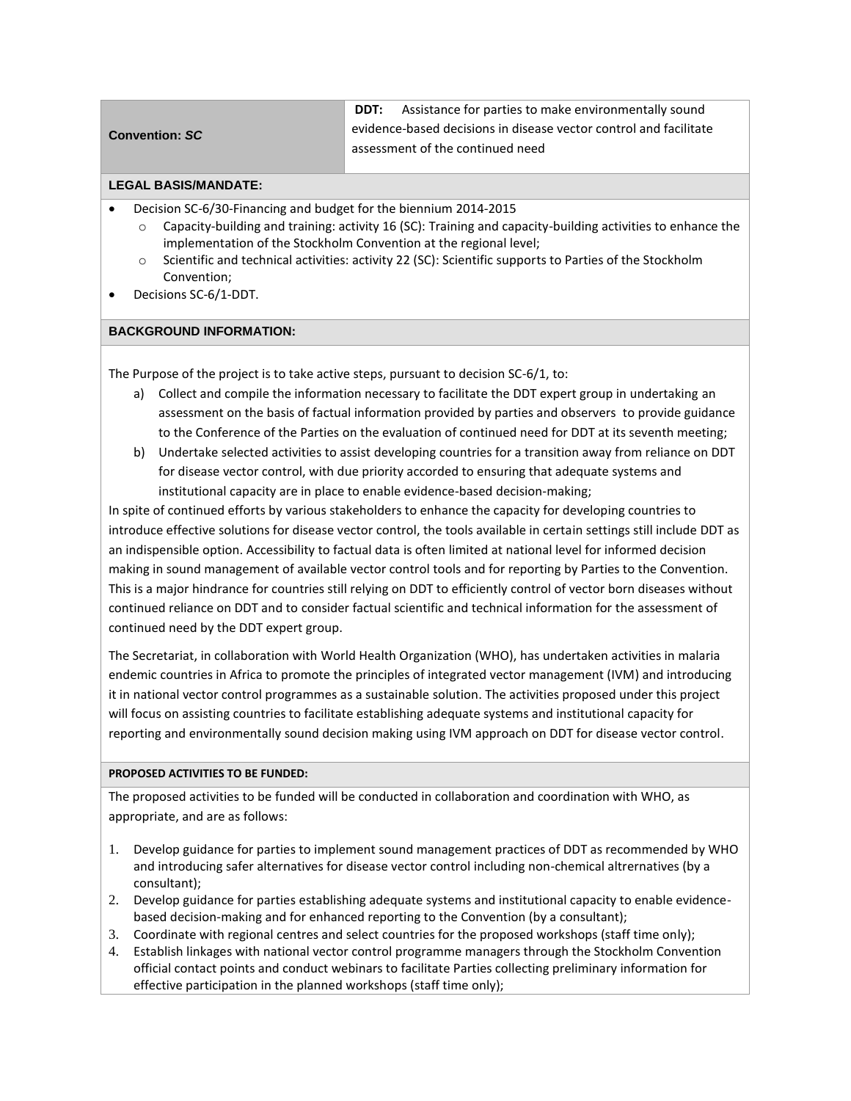| <b>Convention: SC</b> | <b>DDT:</b> Assistance for parties to make environmentally sound  |
|-----------------------|-------------------------------------------------------------------|
|                       | evidence-based decisions in disease vector control and facilitate |
|                       | assessment of the continued need                                  |
|                       |                                                                   |

## **LEGAL BASIS/MANDATE:**

- Decision SC-6/30-Financing and budget for the biennium 2014-2015
	- $\circ$  Capacity-building and training: activity 16 (SC): Training and capacity-building activities to enhance the implementation of the Stockholm Convention at the regional level;
	- o Scientific and technical activities: activity 22 (SC): Scientific supports to Parties of the Stockholm Convention;
- Decisions SC-6/1-DDT.

## **BACKGROUND INFORMATION:**

The Purpose of the project is to take active steps, pursuant to decision SC-6/1, to:

- a) Collect and compile the information necessary to facilitate the DDT expert group in undertaking an assessment on the basis of factual information provided by parties and observers to provide guidance to the Conference of the Parties on the evaluation of continued need for DDT at its seventh meeting;
- b) Undertake selected activities to assist developing countries for a transition away from reliance on DDT for disease vector control, with due priority accorded to ensuring that adequate systems and institutional capacity are in place to enable evidence-based decision-making;

In spite of continued efforts by various stakeholders to enhance the capacity for developing countries to introduce effective solutions for disease vector control, the tools available in certain settings still include DDT as an indispensible option. Accessibility to factual data is often limited at national level for informed decision making in sound management of available vector control tools and for reporting by Parties to the Convention. This is a major hindrance for countries still relying on DDT to efficiently control of vector born diseases without continued reliance on DDT and to consider factual scientific and technical information for the assessment of continued need by the DDT expert group.

The Secretariat, in collaboration with World Health Organization (WHO), has undertaken activities in malaria endemic countries in Africa to promote the principles of integrated vector management (IVM) and introducing it in national vector control programmes as a sustainable solution. The activities proposed under this project will focus on assisting countries to facilitate establishing adequate systems and institutional capacity for reporting and environmentally sound decision making using IVM approach on DDT for disease vector control.

#### **PROPOSED ACTIVITIES TO BE FUNDED:**

The proposed activities to be funded will be conducted in collaboration and coordination with WHO, as appropriate, and are as follows:

- 1. Develop guidance for parties to implement sound management practices of DDT as recommended by WHO and introducing safer alternatives for disease vector control including non-chemical altrernatives (by a consultant);
- 2. Develop guidance for parties establishing adequate systems and institutional capacity to enable evidencebased decision-making and for enhanced reporting to the Convention (by a consultant);
- 3. Coordinate with regional centres and select countries for the proposed workshops (staff time only);
- 4. Establish linkages with national vector control programme managers through the Stockholm Convention official contact points and conduct webinars to facilitate Parties collecting preliminary information for effective participation in the planned workshops (staff time only);